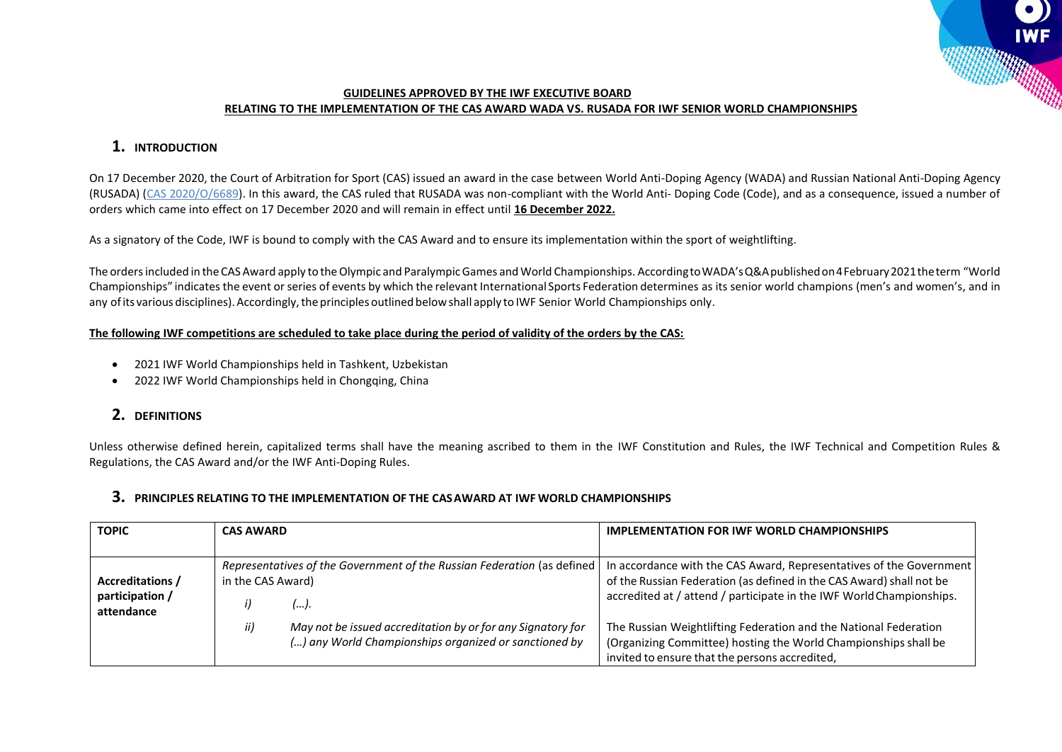#### **GUIDELINES APPROVED BY THE IWF EXECUTIVE BOARD RELATING TO THE IMPLEMENTATION OF THE CAS AWARD WADA VS. RUSADA FOR IWF SENIOR WORLD CHAMPIONSHIPS**

# **1. INTRODUCTION**

On 17 December 2020, the Court of Arbitration for Sport (CAS) issued an award in the case between World Anti-Doping Agency (WADA) and Russian National Anti-Doping Agency (RUSADA) [\(CAS 2020/O/6689\)](https://www.tas-cas.org/fileadmin/user_upload/CAS_Award_6689.pdf). In this award, the CAS ruled that RUSADA was non-compliant with the World Anti- Doping Code (Code), and as a consequence, issued a number of orders which came into effect on 17 December 2020 and will remain in effect until **16 December 2022.**

As a signatory of the Code, IWF is bound to comply with the CAS Award and to ensure its implementation within the sport of weightlifting.

The ordersincluded in the CAS Award apply to theOlympic and ParalympicGames and World Championships. AccordingtoWADA'sQ&Apublishedon4February2021theterm "World Championships" indicates the event orseries of events by which the relevant International Sports Federation determines as its senior world champions (men's and women's, and in any of its various disciplines). Accordingly, the principles outlined below shall apply to IWF Senior World Championships only.

#### **The following IWF competitions are scheduled to take place during the period of validity of the orders by the CAS:**

- 2021 IWF World Championships held in Tashkent, Uzbekistan
- 2022 IWF World Championships held in Chongqing, China

## **2. DEFINITIONS**

Unless otherwise defined herein, capitalized terms shall have the meaning ascribed to them in the IWF Constitution and Rules, the IWF Technical and Competition Rules & Regulations, the CAS Award and/or the IWF Anti-Doping Rules.

### **3. PRINCIPLES RELATING TO THE IMPLEMENTATION OF THE CASAWARD AT IWF WORLD CHAMPIONSHIPS**

| <b>TOPIC</b>                  | CAS AWARD                                                               | <b>IMPLEMENTATION FOR IWF WORLD CHAMPIONSHIPS</b>                                                                                            |
|-------------------------------|-------------------------------------------------------------------------|----------------------------------------------------------------------------------------------------------------------------------------------|
|                               |                                                                         |                                                                                                                                              |
|                               | Representatives of the Government of the Russian Federation (as defined | In accordance with the CAS Award, Representatives of the Government                                                                          |
| <b>Accreditations /</b>       | in the CAS Award)                                                       | of the Russian Federation (as defined in the CAS Award) shall not be<br>accredited at / attend / participate in the IWF World Championships. |
| participation /<br>attendance | ).                                                                      |                                                                                                                                              |
|                               | May not be issued accreditation by or for any Signatory for<br>ii)      | The Russian Weightlifting Federation and the National Federation                                                                             |
|                               | () any World Championships organized or sanctioned by                   | (Organizing Committee) hosting the World Championships shall be                                                                              |
|                               |                                                                         | invited to ensure that the persons accredited,                                                                                               |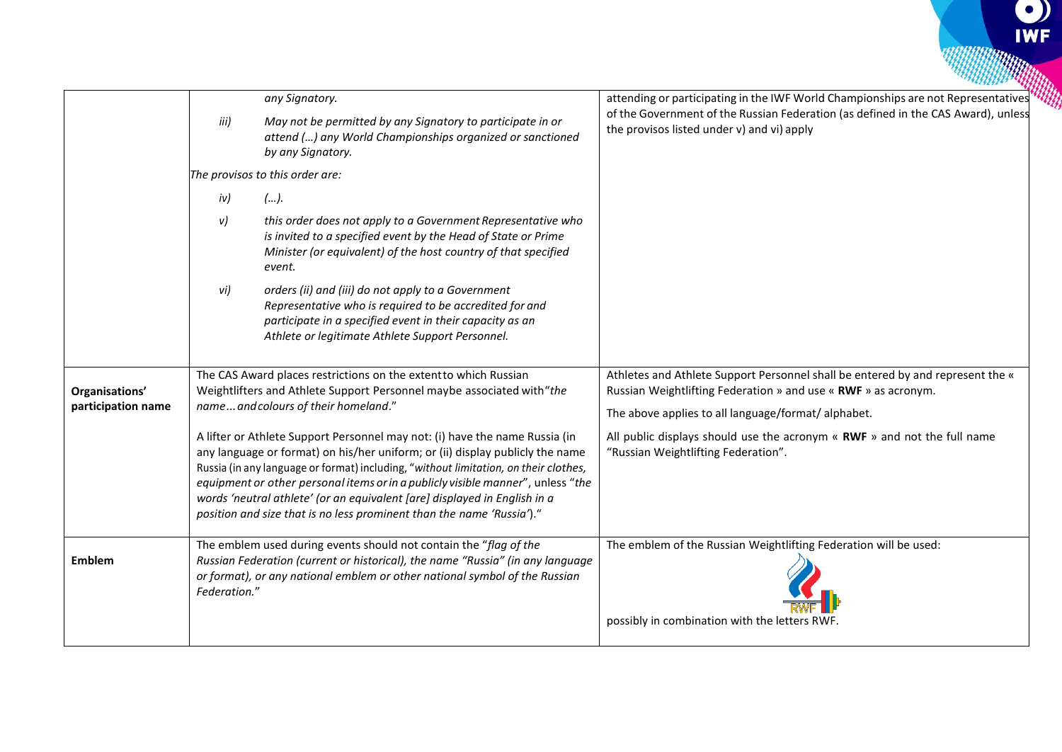|                    |                                                                                                                                                                                                                                                                                                                                                                                                                                                                                               | any Signatory.                                                                                                                                                                                                                | attending or participating in the IWF World Championships are not Representatives                                                                |
|--------------------|-----------------------------------------------------------------------------------------------------------------------------------------------------------------------------------------------------------------------------------------------------------------------------------------------------------------------------------------------------------------------------------------------------------------------------------------------------------------------------------------------|-------------------------------------------------------------------------------------------------------------------------------------------------------------------------------------------------------------------------------|--------------------------------------------------------------------------------------------------------------------------------------------------|
|                    | iii)                                                                                                                                                                                                                                                                                                                                                                                                                                                                                          | May not be permitted by any Signatory to participate in or<br>attend () any World Championships organized or sanctioned<br>by any Signatory.                                                                                  | of the Government of the Russian Federation (as defined in the CAS Award), unless<br>the provisos listed under v) and vi) apply                  |
|                    | The provisos to this order are:                                                                                                                                                                                                                                                                                                                                                                                                                                                               |                                                                                                                                                                                                                               |                                                                                                                                                  |
|                    | iv)                                                                                                                                                                                                                                                                                                                                                                                                                                                                                           | ().                                                                                                                                                                                                                           |                                                                                                                                                  |
|                    | v)                                                                                                                                                                                                                                                                                                                                                                                                                                                                                            | this order does not apply to a Government Representative who<br>is invited to a specified event by the Head of State or Prime<br>Minister (or equivalent) of the host country of that specified<br>event.                     |                                                                                                                                                  |
|                    | vi)                                                                                                                                                                                                                                                                                                                                                                                                                                                                                           | orders (ii) and (iii) do not apply to a Government<br>Representative who is required to be accredited for and<br>participate in a specified event in their capacity as an<br>Athlete or legitimate Athlete Support Personnel. |                                                                                                                                                  |
| Organisations'     | The CAS Award places restrictions on the extent to which Russian<br>Weightlifters and Athlete Support Personnel maybe associated with "the                                                                                                                                                                                                                                                                                                                                                    |                                                                                                                                                                                                                               | Athletes and Athlete Support Personnel shall be entered by and represent the «<br>Russian Weightlifting Federation » and use « RWF » as acronym. |
| participation name |                                                                                                                                                                                                                                                                                                                                                                                                                                                                                               | nameand colours of their homeland."                                                                                                                                                                                           | The above applies to all language/format/ alphabet.                                                                                              |
|                    | A lifter or Athlete Support Personnel may not: (i) have the name Russia (in<br>any language or format) on his/her uniform; or (ii) display publicly the name<br>Russia (in any language or format) including, "without limitation, on their clothes,<br>equipment or other personal items or in a publicly visible manner", unless "the<br>words 'neutral athlete' (or an equivalent [are] displayed in English in a<br>position and size that is no less prominent than the name 'Russia')." |                                                                                                                                                                                                                               | All public displays should use the acronym $\kappa$ RWF $\omega$ and not the full name<br>"Russian Weightlifting Federation".                    |
| <b>Emblem</b>      | The emblem used during events should not contain the "flag of the<br>Russian Federation (current or historical), the name "Russia" (in any language<br>or format), or any national emblem or other national symbol of the Russian<br>Federation."                                                                                                                                                                                                                                             |                                                                                                                                                                                                                               | The emblem of the Russian Weightlifting Federation will be used:<br>possibly in combination with the letters RWF.                                |

 $\frac{1}{2}$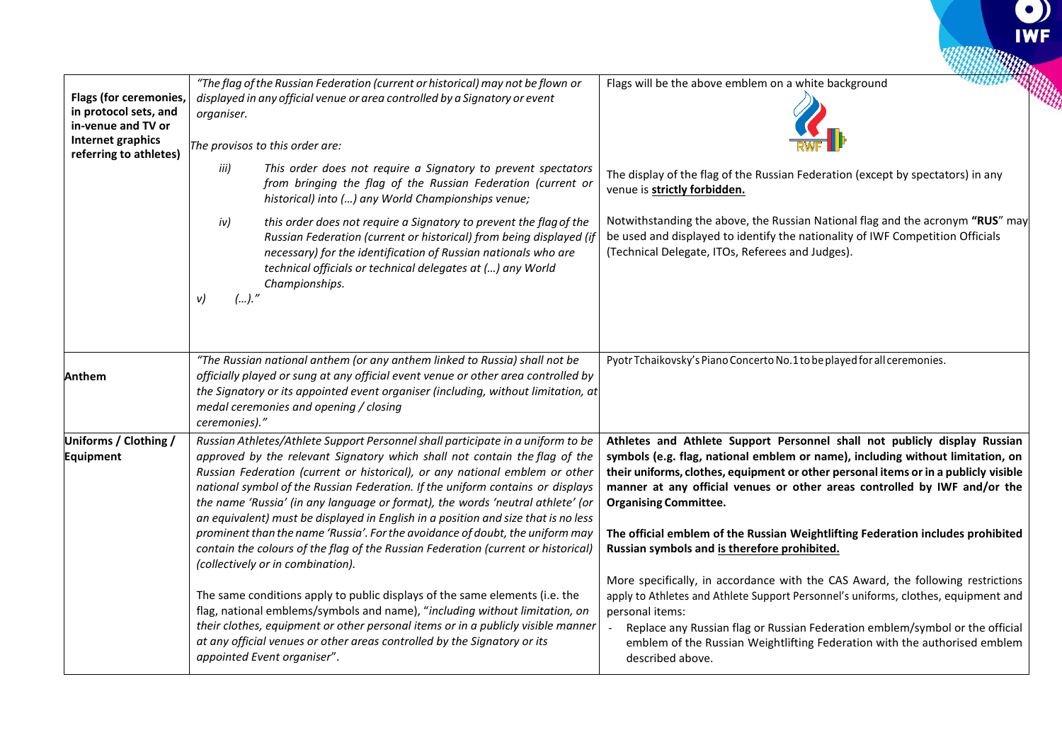| <b>Flags (for ceremonies,</b><br>in protocol sets, and<br>in-venue and TV or<br>Internet graphics<br>referring to athletes) | "The flag of the Russian Federation (current or historical) may not be flown or<br>displayed in any official venue or area controlled by a Signatory or event<br>organiser.<br>The provisos to this order are:                                                                                                                                                                                                                                                                                                                                                                                                                                                                                                    |                                                                                                                                                                                                                                                                                                | Flags will be the above emblem on a white background                                                                                                                                                                                                                                                                                                                                                                                                                                               |
|-----------------------------------------------------------------------------------------------------------------------------|-------------------------------------------------------------------------------------------------------------------------------------------------------------------------------------------------------------------------------------------------------------------------------------------------------------------------------------------------------------------------------------------------------------------------------------------------------------------------------------------------------------------------------------------------------------------------------------------------------------------------------------------------------------------------------------------------------------------|------------------------------------------------------------------------------------------------------------------------------------------------------------------------------------------------------------------------------------------------------------------------------------------------|----------------------------------------------------------------------------------------------------------------------------------------------------------------------------------------------------------------------------------------------------------------------------------------------------------------------------------------------------------------------------------------------------------------------------------------------------------------------------------------------------|
|                                                                                                                             | iii)                                                                                                                                                                                                                                                                                                                                                                                                                                                                                                                                                                                                                                                                                                              | This order does not require a Signatory to prevent spectators<br>from bringing the flag of the Russian Federation (current or<br>historical) into () any World Championships venue;                                                                                                            | The display of the flag of the Russian Federation (except by spectators) in any<br>venue is strictly forbidden.                                                                                                                                                                                                                                                                                                                                                                                    |
|                                                                                                                             | iv)<br>().''<br>v)                                                                                                                                                                                                                                                                                                                                                                                                                                                                                                                                                                                                                                                                                                | this order does not require a Signatory to prevent the flag of the<br>Russian Federation (current or historical) from being displayed (if<br>necessary) for the identification of Russian nationals who are<br>technical officials or technical delegates at () any World<br>Championships.    | Notwithstanding the above, the Russian National flag and the acronym "RUS" may<br>be used and displayed to identify the nationality of IWF Competition Officials<br>(Technical Delegate, ITOs, Referees and Judges).                                                                                                                                                                                                                                                                               |
| Anthem                                                                                                                      | ceremonies)."                                                                                                                                                                                                                                                                                                                                                                                                                                                                                                                                                                                                                                                                                                     | "The Russian national anthem (or any anthem linked to Russia) shall not be<br>officially played or sung at any official event venue or other area controlled by<br>the Signatory or its appointed event organiser (including, without limitation, at<br>medal ceremonies and opening / closing | Pyotr Tchaikovsky's Piano Concerto No.1 to be played for all ceremonies.                                                                                                                                                                                                                                                                                                                                                                                                                           |
| Uniforms / Clothing /<br>Equipment                                                                                          | Russian Athletes/Athlete Support Personnel shall participate in a uniform to be<br>approved by the relevant Signatory which shall not contain the flag of the<br>Russian Federation (current or historical), or any national emblem or other<br>national symbol of the Russian Federation. If the uniform contains or displays<br>the name 'Russia' (in any language or format), the words 'neutral athlete' (or<br>an equivalent) must be displayed in English in a position and size that is no less<br>prominent than the name 'Russia'. For the avoidance of doubt, the uniform may<br>contain the colours of the flag of the Russian Federation (current or historical)<br>(collectively or in combination). |                                                                                                                                                                                                                                                                                                | Athletes and Athlete Support Personnel shall not publicly display Russian<br>symbols (e.g. flag, national emblem or name), including without limitation, on<br>their uniforms, clothes, equipment or other personal items or in a publicly visible<br>manner at any official venues or other areas controlled by IWF and/or the<br><b>Organising Committee.</b><br>The official emblem of the Russian Weightlifting Federation includes prohibited<br>Russian symbols and is therefore prohibited. |
|                                                                                                                             | The same conditions apply to public displays of the same elements (i.e. the<br>flag, national emblems/symbols and name), "including without limitation, on<br>their clothes, equipment or other personal items or in a publicly visible manner<br>at any official venues or other areas controlled by the Signatory or its<br>appointed Event organiser".                                                                                                                                                                                                                                                                                                                                                         |                                                                                                                                                                                                                                                                                                | More specifically, in accordance with the CAS Award, the following restrictions<br>apply to Athletes and Athlete Support Personnel's uniforms, clothes, equipment and<br>personal items:<br>Replace any Russian flag or Russian Federation emblem/symbol or the official<br>emblem of the Russian Weightlifting Federation with the authorised emblem<br>described above.                                                                                                                          |

 $\frac{1}{2}$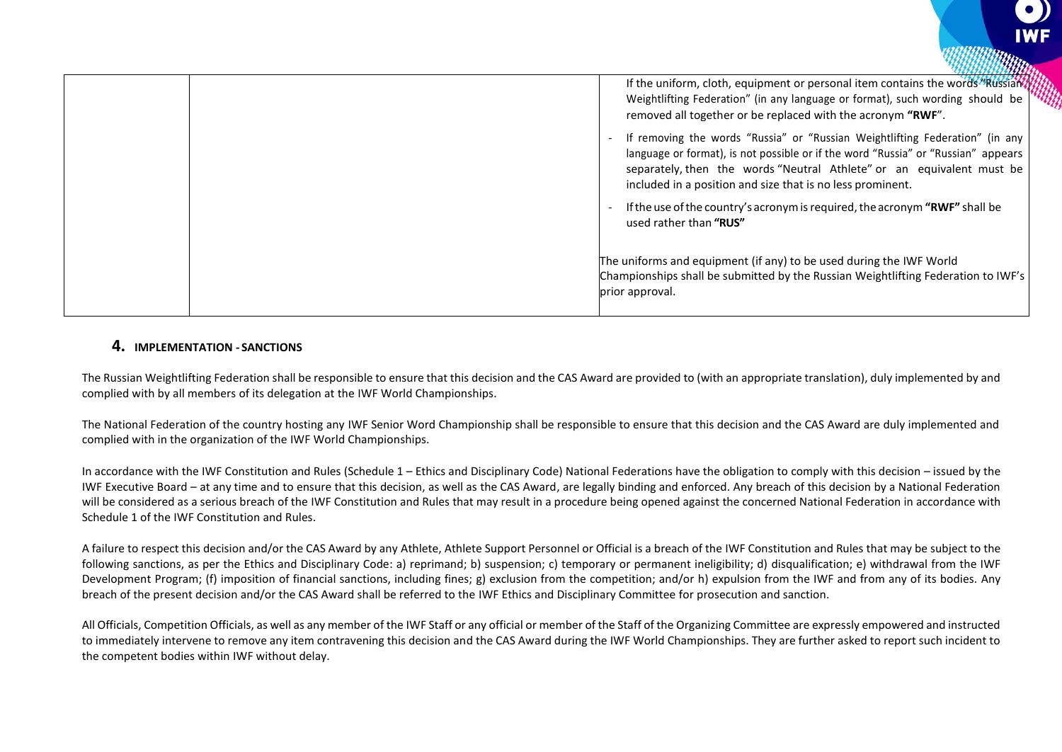

### **4. IMPLEMENTATION - SANCTIONS**

The Russian Weightlifting Federation shall be responsible to ensure that this decision and the CAS Award are provided to (with an appropriate translation), duly implemented by and complied with by all members of its delegation at the IWF World Championships.

The National Federation of the country hosting any IWF Senior Word Championship shall be responsible to ensure that this decision and the CAS Award are duly implemented and complied with in the organization of the IWF World Championships.

In accordance with the IWF Constitution and Rules (Schedule 1 – Ethics and Disciplinary Code) National Federations have the obligation to comply with this decision – issued by the IWF Executive Board – at any time and to ensure that this decision, as well as the CAS Award, are legally binding and enforced. Any breach of this decision by a National Federation will be considered as a serious breach of the IWF Constitution and Rules that may result in a procedure being opened against the concerned National Federation in accordance with Schedule 1 of the IWF Constitution and Rules.

A failure to respect this decision and/or the CAS Award by any Athlete, Athlete Support Personnel or Official is a breach of the IWF Constitution and Rules that may be subject to the following sanctions, as per the Ethics and Disciplinary Code: a) reprimand; b) suspension; c) temporary or permanent ineligibility; d) disqualification; e) withdrawal from the IWF Development Program; (f) imposition of financial sanctions, including fines; g) exclusion from the competition; and/or h) expulsion from the IWF and from any of its bodies. Any breach of the present decision and/or the CAS Award shall be referred to the IWF Ethics and Disciplinary Committee for prosecution and sanction.

All Officials, Competition Officials, as well as any member of the IWF Staff or any official or member of the Staff of the Organizing Committee are expressly empowered and instructed to immediately intervene to remove any item contravening this decision and the CAS Award during the IWF World Championships. They are further asked to report such incident to the competent bodies within IWF without delay.